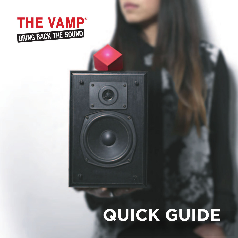

### **QUICK GUIDE**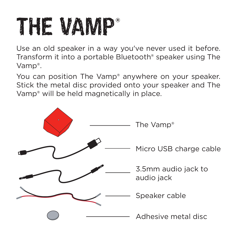## THE VAMP®

Use an old speaker in a way you've never used it before. Transform it into a portable Bluetooth® speaker using The Vamp®.

You can position The Vamp® anywhere on your speaker. Stick the metal disc provided onto your speaker and The Vamp® will be held magnetically in place.

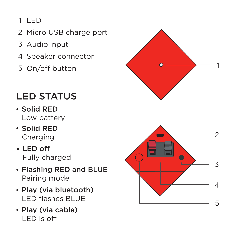### $1$  LED

- Mic ro USB cha rge port
- 1 2 3 4 5 Audio input
- Spea ker connec tor
- 5 On/off button

### LED STATUS

- Solid RED Low battery
- Solid RED Cha rging
- LED off Fully cha rged
- Flashing RED and BL U E Pairing mode
- Pl ay (via blue tooth) LED flashes B LUE
- Pl ay (via cabl e )



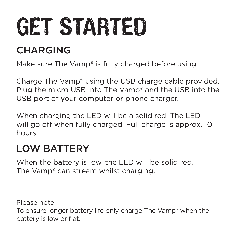# GET STARTED

### CHARGING

Make sure The Vamp<sup>®</sup> is fully charged before using.

Charge The Vamp® using the USB charge cable provided. Plug the micro USB into The Vamp® and the USB into the USB port of your computer or phone charger.

When charging the LED will be a solid red. The LED will go off when fully charged. Full charge is approx. 10 hours.

### LOW BATTERY

When the battery is low, the LED will be solid red. The Vamp® can stream whilst charging.

Please note: To ensure longer battery life only charge The Vamp® when the battery is low or flat.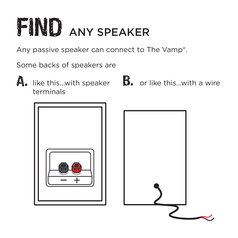## FIND ANY SPEAKER

Any passive speaker can connect to The Vamp®.

Some backs of speakers are

terminals

 $\bigwedge_\bullet\;$  like this...with speaker  $\;\;\;\;\mathbf{B}_\bullet\;$  or like this...with a wire



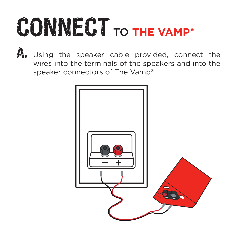# CONNECT TO **THE VAMP®**

 $\mathbf A$ . Using the speaker cable provided, connect the wires into the terminals of the speakers and into the speaker connectors of The Vamp®.

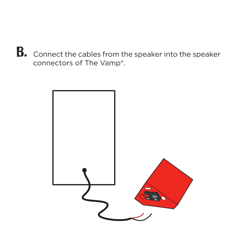**B.** Connect the cables from the speaker into the speaker connectors of The Vamp®.

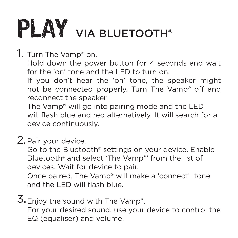## PLAY VIA BLUETOOTH®

1. Turn The Vamp® on. Hold down the power button for 4 seconds and wait for the 'on' tone and the LED to turn on. If you don't hear the 'on' tone, the speaker might not be connected properly. Turn The Vamp<sup>®</sup> off and reconnect the speaker.

The Vamp® will go into pairing mode and the LED will flash blue and red alternatively. It will search for a device continuously.

2.Pair your device.

Go to the Bluetooth® settings on your device. Enable Bluetooth® and select 'The Vamp®' from the list of devices. Wait for device to pair.

Once paired, The Vamp® will make a 'connect' tone and the LED will flash blue.

3. Enjoy the sound with The Vamp®. For your desired sound, use your device to control the EQ (equaliser) and volume.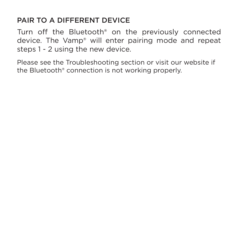### PAIR TO A DIFFERENT DEVICE

Turn off the Bluetooth® on the previously connected device. The Vamp® will enter pairing mode and repeat steps 1 - 2 using the new device.

Please see the Troubleshooting section or visit our website if the Bluetooth® connection is not working properly.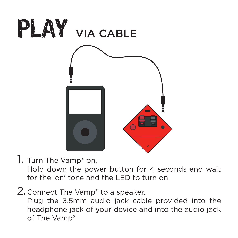

1. Turn The Vamp® on.

Hold down the power button for 4 seconds and wait for the 'on' tone and the LED to turn on.

2. Connect The Vamp<sup>®</sup> to a speaker.

Plug the 3.5mm audio jack cable provided into the headphone jack of your device and into the audio jack of The Vamp®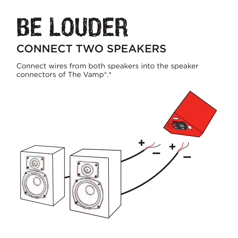### BE LOUDER CONNECT TWO SPEAKERS

Connect wires from both speakers into the speaker connectors of The Vamp®.\*

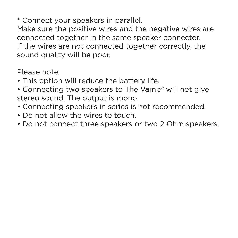\* Connect your speakers in parallel.

Make sure the positive wires and the negative wires are connected together in the same speaker connector. If the wires are not connected together correctly, the sound quality will be poor.

Please note:

- This option will reduce the battery life.
- Connecting two speakers to The Vamp® will not give stereo sound. The output is mono.
- Connecting speakers in series is not recommended.
- Do not allow the wires to touch.
- Do not connect three speakers or two 2 Ohm speakers.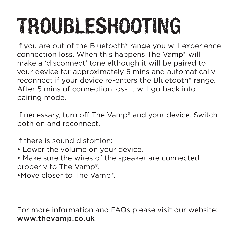## TROUBLESHOOTING

If you are out of the Bluetooth® range you will experience connection loss. When this happens The Vamp® will make a 'disconnect' tone although it will be paired to your device for approximately 5 mins and automatically reconnect if your device re-enters the Bluetooth® range. After 5 mins of connection loss it will go back into pairing mode.

If necessary, turn off The Vamp® and your device. Switch both on and reconnect.

If there is sound distortion:

- Lower the volume on your device.
- Make sure the wires of the speaker are connected properly to The Vamp®.
- •Move closer to The Vamp®.

For more information and FAQs please visit our website: www.thevamp.co.uk